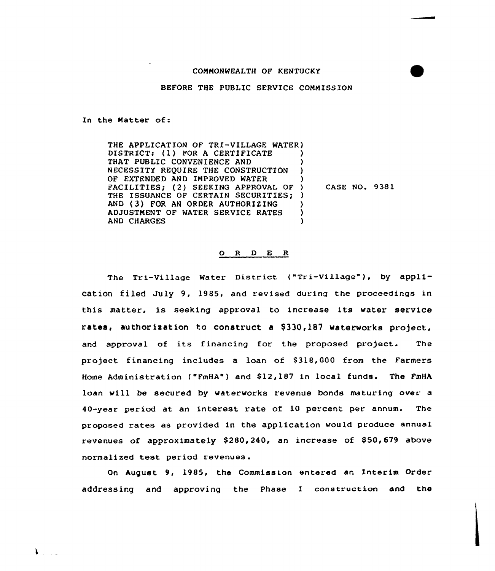## COMMONWEALTH OF KENTUCKY

### BEFORE THE PUBLIC SERVICE COMMISSION

In the Matter of:

THE APPLICATION OF TRI-VILLAGE WATER) DISTRICT: (1) FOR A CERTIFICATE THAT PUBLIC CONVENIENCE AND NECESSITY REQUIRE THE CONSTRUCTION ) OF EXTENDED AND IMPROVED WATER FACILITIES; (2) SEEKING APPROVAL OF ) THE ISSUANCE OF CERTAIN SECURITIES; ) AND (3) FOR AN ORDER AUTHORIZING )<br>ADJUSTMENT OF WATER SERVICE RATES ) ADJUSTMENT OF WATER SERVICE RATES ) **AND CHARGES** CASE NO. 9381

#### 0 <sup>R</sup> <sup>D</sup> E R

The Tri-Village Water District ("Tri-Village"), by application filed July 9, 1985, and revised during the proceedings in this matter, is seeking approval to increase its water service rates, authorization to construct a \$330,187 waterworks project, and approval of its financing for the proposed project. The project financing includes a loan of \$318,000 from the Farmers Home Administration ("FmHA") and \$12,187 in local funds. The FmHA loan will be secured by waterworks revenue bonds maturing over a 40-year period at an interest rate of 10 percent per annum. The proposed rates as provided in the application would produce annual revenues of approximately \$280,240, an increase of \$50,679 above normalized test period revenues.

On August 9, 1985, the Commission entered an Interim Order addressing and approving the Phase I construction and the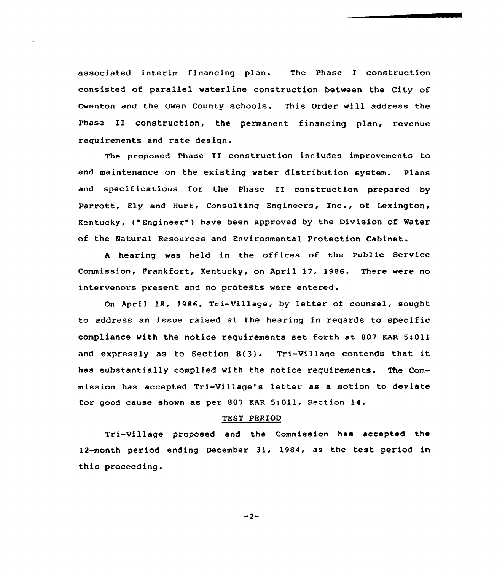associated interim financing plan. The Phase I construction consisted of parallel waterline construction between the City of Owenton and the Owen County schools. This Order will address the Phase II construction, the permanent financing plan, revenue requirements and rate design.

The proposed Phase II construction includes improvements to and maintenance on the existing water distribution system. Plans and specifications for the Phase II construction prepared by Parrott, Ely and Hurt, Consulting Engineers, Inc., of Lexington, Kentucky, ("Engineer" ) have been approved by the Division of Mater of the Natural Resources and Environmental Protection Cabinet.

<sup>A</sup> hearing was held in the offices of the Public Service Commission, Frankfort, Kentucky, on April 17, 1986. There were no intervenors present and no protests were entered.

On April 18, 1986, Tri-Village, by letter of counsel, sought to address an issue raised at the hearing in regards to specific compliance with the notice requirements set forth at 807 KAR 5>011 and expressly as to Section 8(3). Tri-Village contends that it has substantially complied with the notice requirements. The Commission has accepted Tri-Village's letter as a motion to deviate for good cause shown as per 807 KAR 5:011, Section 14.

### TEST PERIOD

Tri-Village proposed and the Commission has accepted the 12-month period ending December 31, 1984, as the test period in this proceeding.

 $-2-$ 

والمتحافظ فالفاق والمحافرة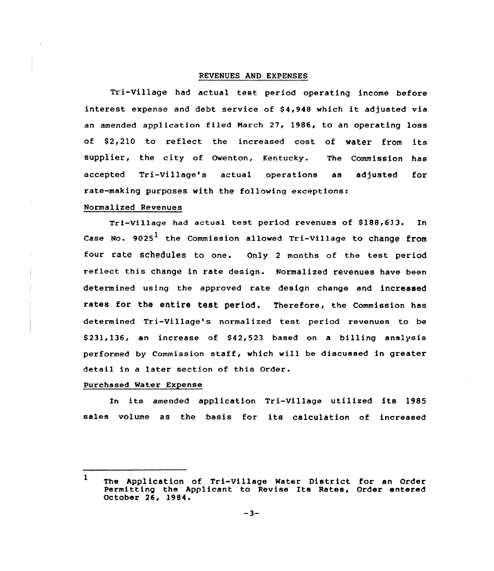## REVENUES AND EXPENSES

Tri-Village had actual test period operating income before interest expense and debt service of \$4,948 which it adjusted via an amended application filed March 27, 1986, to an operating loss of \$2,210 to reflect the increased cost of water from its supplier, the city of owenton, Kentucky. The commission has accepted Tri-Village's actual operations as adjusted for rate-making purposes with the following exceptions:

### Normalized Revenues

Tri-Village had actual test period revenues of \$188,613. In Case No.  $9025<sup>1</sup>$  the Commission allowed Tri-Village to change from four rate schedules to one. Only <sup>2</sup> months of the test period reflect this change in rate design. Normalized revenues have been determined using the approved rate design change and increased rates for the entire test period. Therefore, the Commission has determined Tri-Village's normalized test period revenues to be \$231,136, an increase of \$42,523 based on a billing analysis performed by Commission staff, which will be discussed in greater detail in a later section of this Order.

### Purchased Mater Expense

In its amended application Tri-Village utilized its 1985 sales volume as the basis for its calculation of increased

<sup>&</sup>lt;sup>1</sup> The Application of Tri-Village Water District for an Order Permitting the Applicant to Revise Its Rates, Order entered October 26, 1984.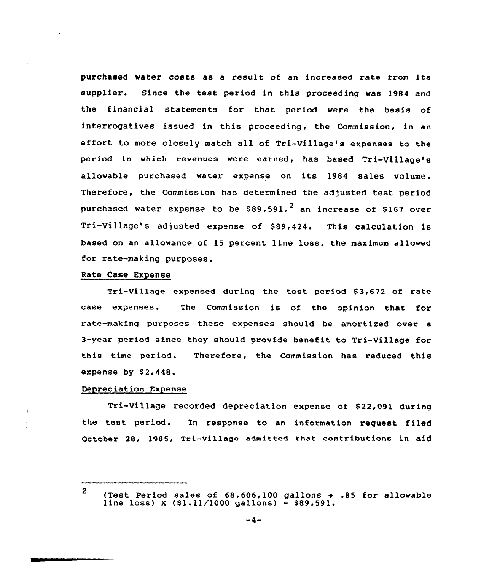purchased water costs as <sup>a</sup> result of an increased rate from its supplier. Since the test period in this proceeding was 1984 and the financial statements for that period were the basis of interrogatives issued in this proceeding, the Commission, in an effort to more closely match all of Tri-Village's expenses to the period in which revenues were earned, has based Tri-Village's allowable purchased water expense on its 1984 sales volume. Therefore, the Commission has determined the adjusted test period purchased water expense to be  $$89,591.<sup>2</sup>$  an increase of \$167 over Tri-Village's adjusted expense of \$89,424. This calculation is based an an allowance of 15 percent line loss, the maximum allowed for rate-making purposes.

## Rate Case Expense

Tri-Village expensed during the test period \$3,672 of rate case expenses. The Commission is of the opinion that for rate-making purposes these expenses should be amortized over a 3-year period since they should provide benefit to Tri-Village for this time period. Therefore, the Commission has reduced this expense by  $$2,448.$ 

### Depreciation Expense

Tri-Village recorded depreciation expense of \$22,091 during the test period. In response to an information request filed October 28, 1985, Tri-Village admitted that contributions in aid

<sup>2</sup> (Test Period sales of  $68,606,100$  gallons  $\div$  .85 for allowable line loss) X (\$1.11/1000 gallons) = \$89,591.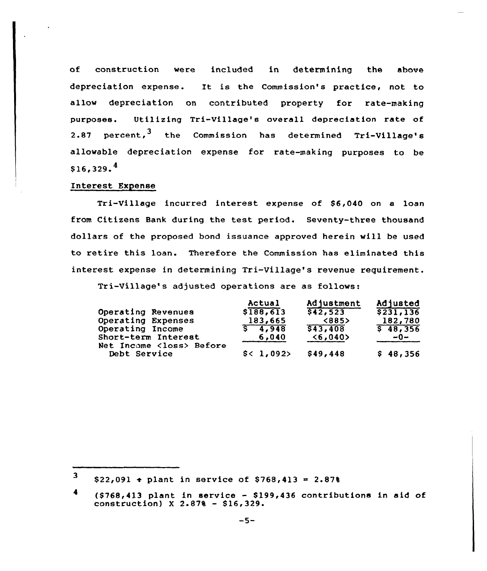of construction were included in determining the above depreciation expense. It is the Commission's practice, not to allow depreciation on contributed property for rate-making purposes. Utilizing Tri-Village's overall depreciation rate of 2.87 percent, <sup>3</sup> the Commission has determined Tri-Village's allowable depreciation expense for rate-making purposes to be  $$16,329.^4$ 

# Interest Expense

Tri-Village incurred interest expense of S6,040 on a loan from Citizens Bank during the test period. Seventy-three thousand dollars of the proposed bond issuance approved herein will be used to retire this loan. Therefore the Commission has eliminated this interest expense in determining Tri-Village's revenue requirement.

Tri-Village's adjusted operations are as follows:

|                                                  | Actual      | <b>Adjustment</b>  | Adjusted  |
|--------------------------------------------------|-------------|--------------------|-----------|
| Operating Revenues                               | \$188,613   | \$42,523           | \$231,136 |
| Operating Expenses                               | 183,665     | <b>&lt;885&gt;</b> | 182,780   |
| Operating Income                                 | $S = 4.948$ | \$43,408           | \$48,356  |
| Short-term Interest                              | 6,040       | < 6,040            | $-0-$     |
| Net Income <loss> Before<br/>Debt Service</loss> | \$< 1,092>  | \$49,448           | \$48,356  |

<sup>3</sup>  $$22,091 \t + \text{plant} \t in service of $768,413 = 2.878$ 

<sup>4</sup>  $(5768, 413$  plant in service - \$199,436 contributions in aid of construction)  $X$  2.87% - \$16,329.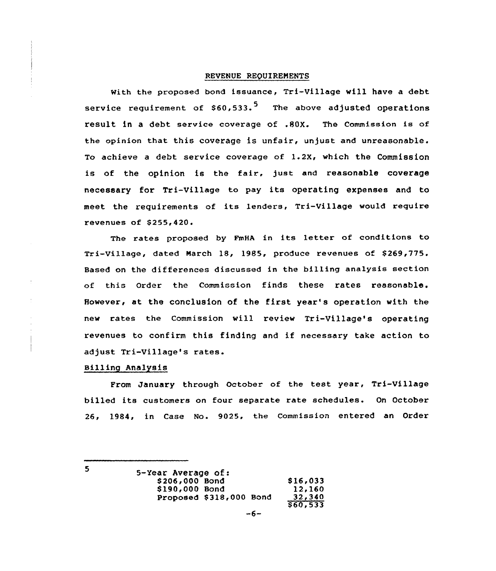## REVENUE REQUIRENENTS

with the proposed bond issuance, Tri-Village will have a debt service requirement of  $$60,533.^5$  The above adjusted operations x'esult in <sup>a</sup> debt service coverage of .8QX. The Commission is of the opinion that this coverage is unfair, unjust and unreasonable. To achieve a debt service coverage of 1.2X, which the Commission is of the opinion is the fair, just and reasonable coverage necessary for Tri-Village to pay its operating expenses and to meet the requirements of its lenders, Tri-Village would reguire revenues of \$ 255,420.

The rates proposed by FmHA in its letter of conditions to  $Tri-Vi11aq$ e, dated March 18, 1985, produce revenues of \$269,775. Based on the differences discussed in the billing analysis section of this Order the Commission finds these rates reasonable. However, at the conclusion of the fixst year's operation with the new rates the Commission vill review Tri-Village's operating revenues to confirm this finding and if necessary take action to adjust Tri-Village's rates.

### Billing Analysis

From January through October of the test year, Tri-Village billed its customers on four sepaxate rate schedules. On October 26, 1984, in Case No. 9025, the Commission entered an Order

<sup>5</sup>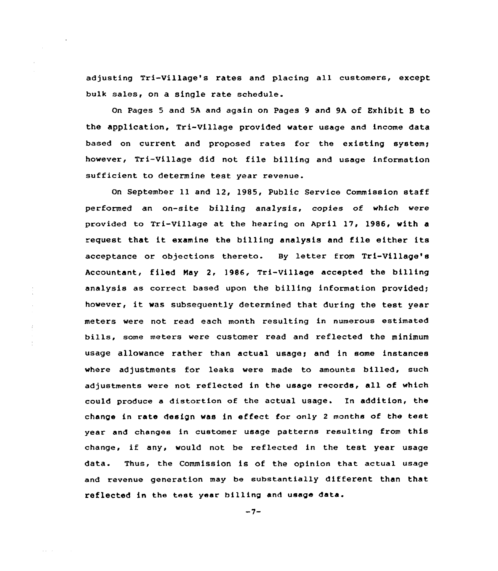adjusting Tri-Village's rates and placing all customers, except bulk sales, on a single rate schedule.

On Pages 5 and 5A and again on Pages 9 and 9A of Exhibit 8 to the application, Tri-Village provided water usage and income data based on current and proposed rates for the existing system; however, Tri-Village did not file billing and usage information sufficient to determine test year revenue.

On September 11 and 12, 1985, Public Service Commission staff performed an on-site billing analysis, copies of which vere provided to Tri-Village at the hearing on April 17, 1986< with a equest that it examine the billing analysis and file either its acceptance or objections thereto. By letter from Tri-Village's Accountant, filed Nay 2, 1986, Tri-Village accepted the billing analysis as correct based upon the billing information provided; however, it was subsequently determined that during the test year meters were not read each month resulting in numerous estimated bills, aome meters were customer read and reflected the minimum usage allowance rather than actual usage; and in some instances where adjustments for leaks were made to amounts billed, such adjustments were not reflected in the usage records, all of which could produce a distortion of the actual usage. In addition, the change in rate design was in effect for only <sup>2</sup> months of the test year and changes in customer usage patterns resulting from this change, if any, would not be reflected in the test year usage data. Thus, the Commission is of the opinion that actual usage and revenue generation may be substantially different than that reflected in the test year billing and usage data.

 $\Delta$ 

 $-7-$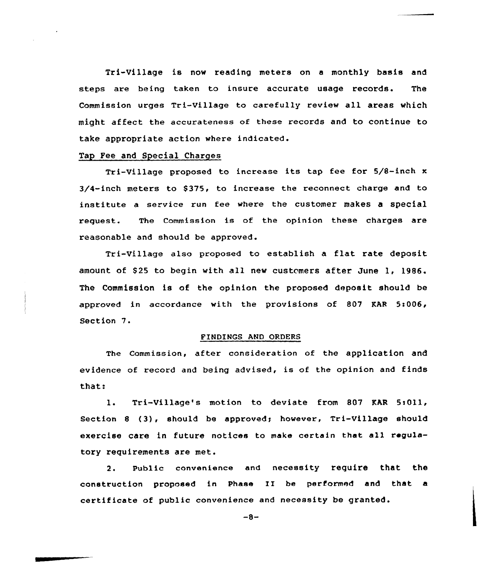Tri-Village is now reading meters on <sup>a</sup> monthly basis and steps are being taken to insure accurate usage records. The Commission urges Tri-village to carefully review all areas which might affect the accurateness of these records and to continue to take appropriate action where indicated.

## Tap Fee and Special Charges

Tri-Village proposed to increase its tap fee for 5/8-inch <sup>x</sup> 3/4-inch meters to \$375, to increase the reconnect charge and to institute a service run fee where the customer makes a special request. The Commission is of the opinion these charges are reasonable and should be approved.

Tri-Village also proposed to establish a flat rate deposit amount of \$25 to begin with all new customers after June 1, 1986. The Commission is of the opinion the proposed deposit should be approved in accordance with the provisions of 807 KAR 5:006, Section 7.

### FINDINGS AND ORDERS

The Commission, aftex consideration of the application and evidence of xecord and being advised, is of the opinion and finds that:

1. Tri-Village's motion to deviate from 807 KAR 5:011, Section 8 (3), should be approved; however,  $Tri-Village$  should exercise care in future notices to make certain that all regulatory requirements are met.

2. Public convenience and necessity require that the construction proposed in Phase II be performed and that a certificate of public convenience and necessity be granted.

 $-8-$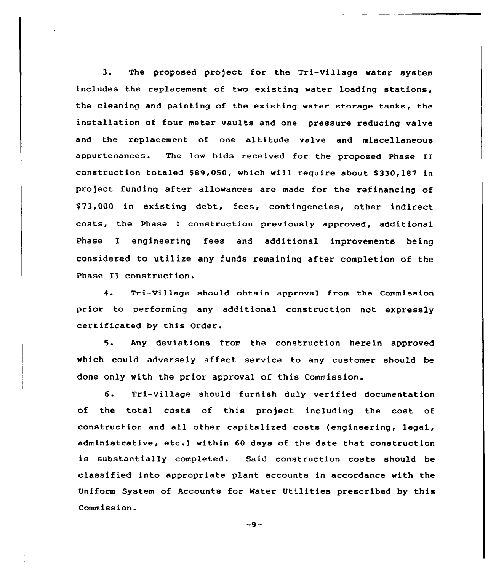3. The proposed project for the Tri-Village water system includes the replacement of two existing water loading stations, the cleaning and painting of the existing water storage tanks, the installation of four meter vaults and one pressure reducing valve and the replacement of one altitude valve and miscellaneous appurtenances. The low bids received for the proposed Phase II construction totaled \$89,050, which will require about \$330,187 in project funding aEter allowances are made for the refinancing of \$ 73,000 in existing debt, fees, contingencies, other indirect costs, the Phase I construction previously approved, additional Phase I engineering fees and additional improvements being considered to utilize any funds remaining after completion of the Phase II construction.

4. Tri-Village should obtain approval from the Commission prior to performing any additional construction not expressly certificated by this Order.

5. Any deviations from the construction herein approved which could adversely affect service to any customer should be done only with the prior approval of this Commission.

6. Tri-Village should furnish duly verified documentation of the total costs of this project including the cost of construction and all other capitalized costs (engineering< legal, administrative, etc. ) within <sup>60</sup> days of the date that construction is substantially completed. Said construction costs should be classified into appropriate plant accounts in accordance with the Uniform System of Accounts for Water Utilities prescribed by this Commission.

 $-9-$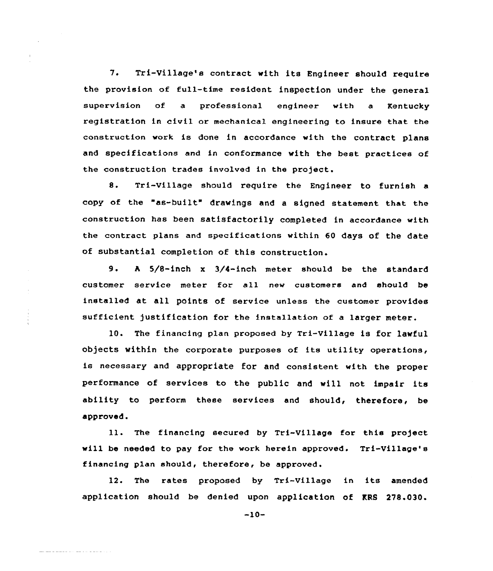7. Tri-Village's contract with its Engineer should require the provision of fu11-time resident inspection under the general supervision of a pxofessional engineer with a Kentucky registration in civil or mechanical engineering to insure that the construction work is done in accordance with the contract plans and specifications and in conformance with the best practices of the construction trades involved in the project.

8. Txi-village should require the Engineer to furnish <sup>a</sup> copy of the "as-built" drawings and <sup>a</sup> signed statement that the construction has been satisfactorily completed in accordance with the contract plans and specifications within 60 days of the date of substantial completion of this construction.

9. <sup>h</sup> 5/8-inch <sup>x</sup> 3/4-inch meter should be the standard customer service meter for all new customers and should be installed at all points of service unless the customer provides sufficient justification for the installation of a larger meter.

10. The financing plan proposed by Tri-Village is for lawful objects within the corporate purposes of its utility operations, is necessary and appropriate for and consistent with the proper performance of sexvices to the public and will not impair its ability to perform these services and should, therefore, be approved.

ll. The financing secured by Tri-Village for this project will be needed to pay for the work herein approved. Tri-Village's financing plan should, therefore, be approved.

12. The rates proposed by Tri-Village in its amended application should be denied upon application of KRS 278.030.

-10-

كالمحاك المرابطة المتابع كمصطرف كالمحا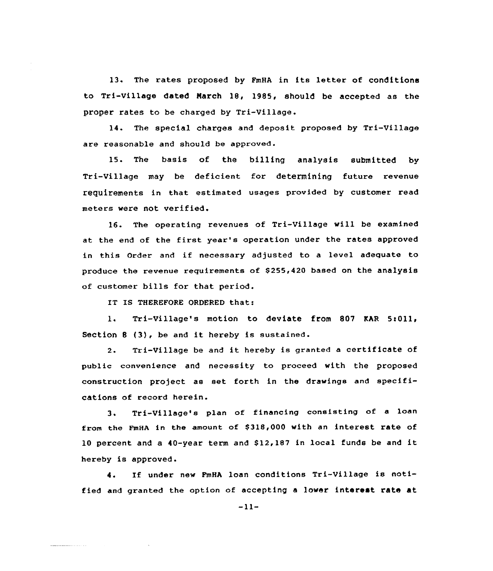13. The rates proposed by FmHA in its letter of conditions to Tri-Village dated Narch 18, 1985, should be accepted as the proper rates to be charged by Tri-Village.

14. The special charges and deposit proposed by Tri-Village are reasonable and should be approved.

15. The basis of the billing analysis submitted by Tri-Village may be deficient for determining future revenue requirements in that estimated usages provided by customex read meters were not verified.

16. The operating revenues of Tri-Village will be examined at the end of the first year's operation under the rates approved in this Order and if necessary adjusted to <sup>a</sup> level adequate to produce the revenue requirements of \$255,420 based on the analysis of customer bills for that period.

IT IS THEREFORE ORDERED that:

and the continuum of the contract  $\mathcal{L}$  . In the contract of the contract of the contract of the contract of the contract of the contract of the contract of the contract of the contract of the contract of the contract

1. Tri-Village's motion to deviate from 807 KAR 5t011, Section <sup>8</sup> (3}, be and it hereby is sustained.

2. Tri-Village be and it hereby is granted <sup>a</sup> certificate of public convenience and necessity to proceed with the proposed construction project as set forth in the drawings and specifications of record herein.

3. Tri-Village's plan of financing consisting of <sup>a</sup> loan from the FmHA in the amount of \$318,000 with an interest rate of <sup>10</sup> percent and <sup>a</sup> 40-year term and \$ 12,187 in local funds be and it hereby is approved.

4. If under new PmHA loan conditions Tri-Village is notified and granted the option of accepting a lower interest rate at

-11-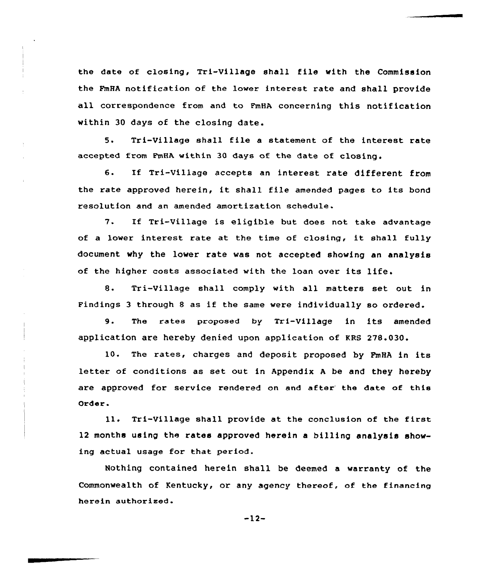the date of closing, Tri-Village shall file with the Commission the FmHA notification of the lower interest rate and shall provide all correspondence from and to FmHA concerning this notification within 30 days of the closing date.

5. Tri-Village shall file a statement of the interest rate accepted from PmHA within 30 days of the date of closing.

6. If Tri-Village accepts an interest rate different from the rate approved herein, it shall file amended pages to its bond resolution and an amended amortization schedule.

7. If Tri-Village is eligible but does not take advantage of <sup>a</sup> lower interest rate at the time of closing, it shall fully document why the lower rate was not accepted showing an analysis of the higher costs associated with the loan over its life.

8. Tri-Village shall comply with all matters set out in Findings <sup>3</sup> through <sup>8</sup> as if the same were individually so ordered.

9. The rates proposed by Tri-Village in its amended application are hereby denied upon application of KRB 278.030.

10. The rates, charges and deposit proposed by PmHA in its letter of conditions as set out in Appendix A be and they hereby are approved for service rendered on and after the date of this Order.

ll. Tri-Village shall provide at the conclusion of the first 12 months using the rates approved herein a billing analysis showing actual usage for that period.

Nothing contained herein shall be deemed a warranty of the Commonwealth of Kentucky, or any agency thereof, of the financing herein authorised.

 $-12-$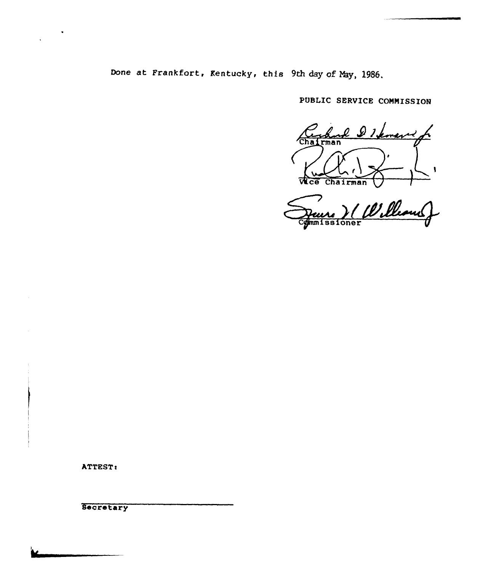Done at Frankfort, Kentucky, this 9th day of May, 1986.

PUBLIC SERVICE COMMISSION

charl 21 kment  $Cha$ I Wice Chairman 1

 $\overline{\mathbf{A}}$ Cgmmissione

ATTEST:

Secretary